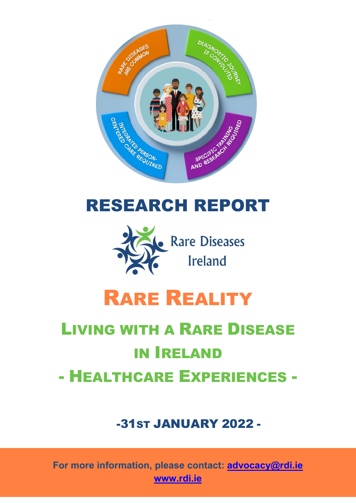

# RESEARCH REPORT



# RARE REALITY

# LIVING WITH A RARE DISEASE IN IRELAND - HEALTHCARE EXPERIENCES -

# -31ST JANUARY 2022 -

**For more information, please contact: [advocacy@rdi.ie](mailto:advocacy@rdi.ie) [www.rdi.ie](http://www.rdi.ie/)**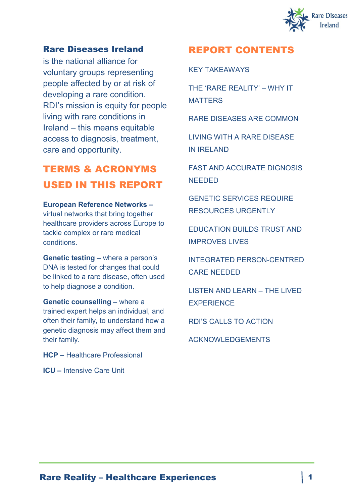

#### Rare Diseases Ireland

is the national alliance for voluntary groups representing people affected by or at risk of developing a rare condition. RDI's mission is equity for people living with rare conditions in Ireland – this means equitable access to diagnosis, treatment, care and opportunity.

### TERMS & ACRONYMS USED IN THIS REPORT

#### **European Reference Networks –**

virtual networks that bring together healthcare providers across Europe to tackle complex or rare medical conditions.

**Genetic testing –** where a person's DNA is tested for changes that could be linked to a rare disease, often used to help diagnose a condition.

**Genetic counselling –** where a trained expert helps an individual, and often their family, to understand how a genetic diagnosis may affect them and their family.

**HCP –** Healthcare Professional

**ICU –** Intensive Care Unit

### REPORT CONTENTS

KEY TAKEAWAYS

THE 'RARE REALITY' – WHY IT **MATTERS** 

RARE DISEASES ARE COMMON

LIVING WITH A RARE DISEASE IN IRELAND

FAST AND ACCURATE DIGNOSIS NEEDED

GENETIC SERVICES REQUIRE RESOURCES URGENTLY

EDUCATION BUILDS TRUST AND IMPROVES LIVES

INTEGRATED PERSON-CENTRED CARE NEEDED

LISTEN AND LEARN – THE LIVED **EXPERIENCE** 

RDI'S CALLS TO ACTION

ACKNOWLEDGEMENTS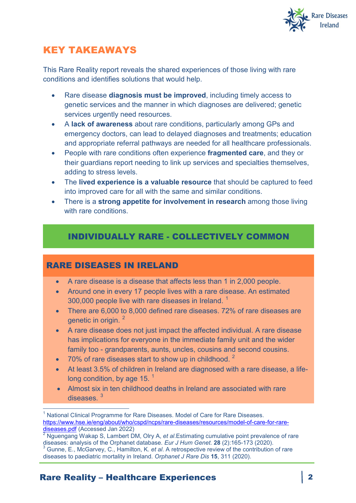

### KEY TAKEAWAYS

This Rare Reality report reveals the shared experiences of those living with rare conditions and identifies solutions that would help.

- Rare disease **diagnosis must be improved**, including timely access to genetic services and the manner in which diagnoses are delivered; genetic services urgently need resources.
- A **lack of awareness** about rare conditions, particularly among GPs and emergency doctors, can lead to delayed diagnoses and treatments; education and appropriate referral pathways are needed for all healthcare professionals.
- People with rare conditions often experience **fragmented care**, and they or their guardians report needing to link up services and specialties themselves, adding to stress levels.
- The **lived experience is a valuable resource** that should be captured to feed into improved care for all with the same and similar conditions.
- There is a **strong appetite for involvement in research** among those living with rare conditions.

### INDIVIDUALLY RARE - COLLECTIVELY COMMON

### RARE DISEASES IN IRELAND

- A rare disease is a disease that affects less than 1 in 2,000 people.
- Around one in every 17 people lives with a rare disease. An estimated 300,000 people live with rare diseases in Ireland.  $1$
- There are 6,000 to 8,000 defined rare diseases. 72% of rare diseases are genetic in origin. [2](#page-2-1)
- A rare disease does not just impact the affected individual. A rare disease has implications for everyone in the immediate family unit and the wider family too - grandparents, aunts, uncles, cousins and second cousins.
- $170\%$  of rare diseases start to show up in childhood.<sup>2</sup>
- At least 3.5% of children in Ireland are diagnosed with a rare disease, a lifelong condition, by age  $15.$ <sup>1</sup>
- Almost six in ten childhood deaths in Ireland are associated with rare  $d$ iseases  $3$

<span id="page-2-0"></span> 1 National Clinical Programme for Rare Diseases. Model of Care for Rare Diseases. https://www.hse.ie/eng/about/who/cspd/ncps/rare-diseases/resources/model-of-care-for-rare-<br>diseases.pdf (Accessed Jan 2022)

<span id="page-2-1"></span><sup>&</sup>lt;sup>2</sup> Nguengang Wakap S, Lambert DM, Olry A, *et al*.Estimating cumulative point prevalence of rare diseases: analysis of the Orphanet database. *Eur J Hum Genet.* 28 (2):165-173 (2020). <sup>3</sup> Gunne, E., McGarvey, C., Hamilton, K. et al. A retrospective review of the contribution of rare

<span id="page-2-2"></span>diseases to paediatric mortality in Ireland. *Orphanet J Rare Dis* **15**, 311 (2020).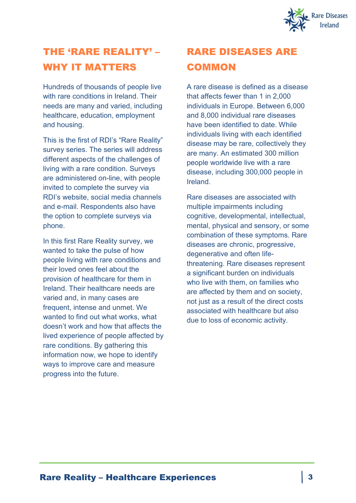

# THE 'RARE REALITY' – WHY IT MATTERS

Hundreds of thousands of people live with rare conditions in Ireland. Their needs are many and varied, including healthcare, education, employment and housing.

This is the first of RDI's "Rare Reality" survey series. The series will address different aspects of the challenges of living with a rare condition. Surveys are administered on-line, with people invited to complete the survey via RDI's website, social media channels and e-mail. Respondents also have the option to complete surveys via phone.

In this first Rare Reality survey, we wanted to take the pulse of how people living with rare conditions and their loved ones feel about the provision of healthcare for them in Ireland. Their healthcare needs are varied and, in many cases are frequent, intense and unmet. We wanted to find out what works, what doesn't work and how that affects the lived experience of people affected by rare conditions. By gathering this information now, we hope to identify ways to improve care and measure progress into the future.

# RARE DISEASES ARE **COMMON**

A rare disease is defined as a disease that affects fewer than 1 in 2,000 individuals in Europe. Between 6,000 and 8,000 individual rare diseases have been identified to date. While individuals living with each identified disease may be rare, collectively they are many. An estimated 300 million people worldwide live with a rare disease, including 300,000 people in Ireland.

Rare diseases are associated with multiple impairments including cognitive, developmental, intellectual, mental, physical and sensory, or some combination of these symptoms. Rare diseases are chronic, progressive, degenerative and often lifethreatening. Rare diseases represent a significant burden on individuals who live with them, on families who are affected by them and on society, not just as a result of the direct costs associated with healthcare but also due to loss of economic activity.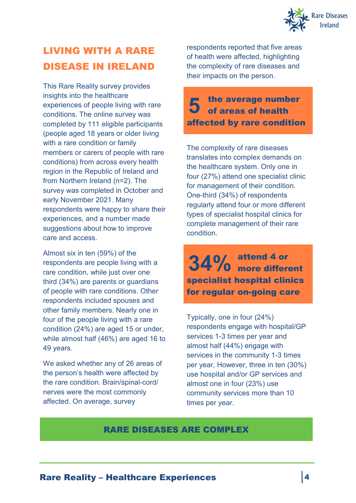

# LIVING WITH A RARE DISEASE IN IRELAND

This Rare Reality survey provides insights into the healthcare experiences of people living with rare conditions. The online survey was completed by 111 eligible participants (people aged 18 years or older living with a rare condition or family members or carers of people with rare conditions) from across every health region in the Republic of Ireland and from Northern Ireland (n=2). The survey was completed in October and early November 2021. Many respondents were happy to share their experiences, and a number made suggestions about how to improve care and access.

Almost six in ten (59%) of the respondents are people living with a rare condition, while just over one third (34%) are parents or guardians of people with rare conditions. Other respondents included spouses and other family members. Nearly one in four of the people living with a rare condition (24%) are aged 15 or under, while almost half (46%) are aged 16 to 49 years.

We asked whether any of 26 areas of the person's health were affected by the rare condition. Brain/spinal-cord/ nerves were the most commonly affected. On average, survey

respondents reported that five areas of health were affected, highlighting the complexity of rare diseases and their impacts on the person.

### the average number **5** the average number<br>**5** of areas of health affected by rare condition

The complexity of rare diseases translates into complex demands on the healthcare system. Only one in four (27%) attend one specialist clinic for management of their condition. One-third (34%) of respondents regularly attend four or more different types of specialist hospital clinics for complete management of their rare condition.

attend 4 or 34% attend 4 or<br>34% more different specialist hospital clinics for regular on-going care

Typically, one in four (24%) respondents engage with hospital/GP services 1-3 times per year and almost half (44%) engage with services in the community 1-3 times per year, However, three in ten (30%) use hospital and/or GP services and almost one in four (23%) use community services more than 10 times per year.

### RARE DISEASES ARE COMPLEX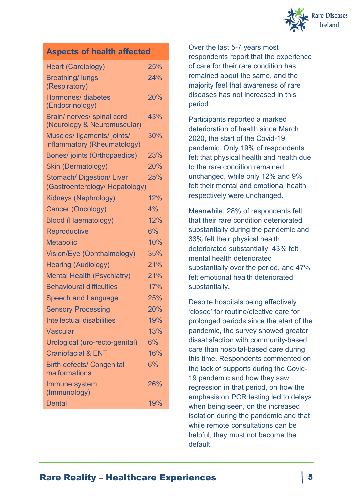

### **Aspects of health affected**

| <b>Heart (Cardiology)</b>                                          | 25% |
|--------------------------------------------------------------------|-----|
| <b>Breathing/ lungs</b><br>(Respiratory)                           | 24% |
| <b>Hormones/ diabetes</b><br>(Endocrinology)                       | 20% |
| Brain/ nerves/ spinal cord<br>(Neurology & Neuromuscular)          | 43% |
| Muscles/ ligaments/ joints/<br>inflammatory (Rheumatology)         | 30% |
| <b>Bones/ joints (Orthopaedics)</b>                                | 23% |
| <b>Skin (Dermatology)</b>                                          | 20% |
| <b>Stomach/ Digestion/ Liver</b><br>(Gastroenterology/ Hepatology) | 25% |
| <b>Kidneys (Nephrology)</b>                                        | 12% |
| Cancer (Oncology)                                                  | 4%  |
| <b>Blood (Haematology)</b>                                         | 12% |
| <b>Reproductive</b>                                                | 6%  |
| <b>Metabolic</b>                                                   | 10% |
| Vision/Eye (Ophthalmology)                                         | 35% |
| <b>Hearing (Audiology)</b>                                         | 21% |
| <b>Mental Health (Psychiatry)</b>                                  | 21% |
| <b>Behavioural difficulties</b>                                    | 17% |
| <b>Speech and Language</b>                                         | 25% |
| <b>Sensory Processing</b>                                          | 20% |
| <b>Intellectual disabilities</b>                                   | 19% |
| <b>Vascular</b>                                                    | 13% |
| Urological (uro-recto-genital)                                     | 6%  |
| <b>Craniofacial &amp; ENT</b>                                      | 16% |
| <b>Birth defects/ Congenital</b><br>malformations                  | 6%  |
| Immune system<br>(Immunology)                                      | 26% |
| <b>Dental</b>                                                      | 19% |

Over the last 5-7 years most respondents report that the experience of care for their rare condition has remained about the same, and the majority feel that awareness of rare diseases has not increased in this period.

Participants reported a marked deterioration of health since March 2020, the start of the Covid-19 pandemic. Only 19% of respondents felt that physical health and health due to the rare condition remained unchanged, while only 12% and 9% felt their mental and emotional health respectively were unchanged.

Meanwhile, 28% of respondents felt that their rare condition deteriorated substantially during the pandemic and 33% felt their physical health deteriorated substantially. 43% felt mental health deteriorated substantially over the period, and 47% felt emotional health deteriorated substantially.

Despite hospitals being effectively 'closed' for routine/elective care for prolonged periods since the start of the pandemic, the survey showed greater dissatisfaction with community-based care than hospital-based care during this time. Respondents commented on the lack of supports during the Covid-19 pandemic and how they saw regression in that period, on how the emphasis on PCR testing led to delays when being seen, on the increased isolation during the pandemic and that while remote consultations can be helpful, they must not become the default.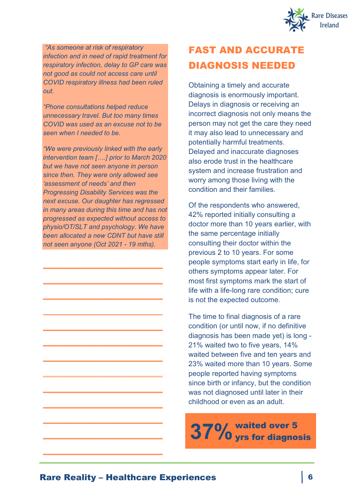

*"As someone at risk of respiratory infection and in need of rapid treatment for respiratory infection, delay to GP care was not good as could not access care until COVID respiratory illness had been ruled out.*

*"Phone consultations helped reduce unnecessary travel. But too many times COVID was used as an excuse not to be seen when I needed to be.*

*"We were previously linked with the early intervention team [….] prior to March 2020 but we have not seen anyone in person since then. They were only allowed see 'assessment of needs' and then Progressing Disability Services was the next excuse. Our daughter has regressed in many areas during this time and has not progressed as expected without access to physio/OT/SLT and psychology. We have been allocated a new CDNT but have still not seen anyone (Oct 2021 - 19 mths).*

 $\_$ 

\_\_\_\_\_\_\_\_\_\_\_\_\_\_\_\_\_\_\_\_\_\_\_\_\_

\_\_\_\_\_\_\_\_\_\_\_\_\_\_\_\_\_\_\_\_\_\_\_\_\_

\_\_\_\_\_\_\_\_\_\_\_\_\_\_\_\_\_\_\_\_\_\_\_\_\_

 $\_$ 

 $\_$ 

\_\_\_\_\_\_\_\_\_\_\_\_\_\_\_\_\_\_\_\_\_\_\_\_\_

\_\_\_\_\_\_\_\_\_\_\_\_\_\_\_\_\_\_\_\_\_\_\_\_\_

 $\_$ 

 $\_$ 

\_\_\_\_\_\_\_\_\_\_\_\_\_\_\_\_\_\_\_\_\_\_\_\_\_

\_\_\_\_\_\_\_\_\_\_\_\_\_\_\_\_\_\_\_\_\_\_\_\_\_

\_\_\_\_\_\_\_\_\_\_\_\_\_\_\_\_\_\_\_\_\_\_\_\_\_

# FAST AND ACCURATE DIAGNOSIS NEEDED

Obtaining a timely and accurate diagnosis is enormously important. Delays in diagnosis or receiving an incorrect diagnosis not only means the person may not get the care they need it may also lead to unnecessary and potentially harmful treatments. Delayed and inaccurate diagnoses also erode trust in the healthcare system and increase frustration and worry among those living with the condition and their families.

Of the respondents who answered, 42% reported initially consulting a doctor more than 10 years earlier, with the same percentage initially consulting their doctor within the previous 2 to 10 years. For some people symptoms start early in life, for others symptoms appear later. For most first symptoms mark the start of life with a life-long rare condition; cure is not the expected outcome.

The time to final diagnosis of a rare condition (or until now, if no definitive diagnosis has been made yet) is long - 21% waited two to five years, 14% waited between five and ten years and 23% waited more than 10 years. Some people reported having symptoms since birth or infancy, but the condition was not diagnosed until later in their childhood or even as an adult.

waited over 5 **37%**yrs for diagnosis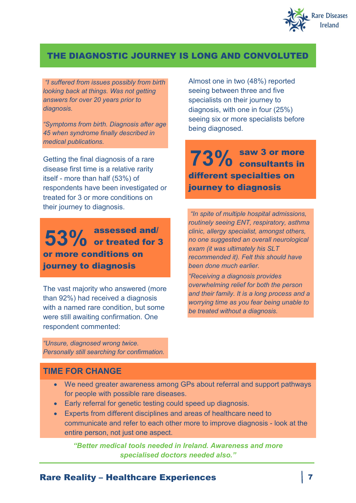

### THE DIAGNOSTIC JOURNEY IS LONG AND CONVOLUTED

*"I suffered from issues possibly from birth looking back at things. Was not getting answers for over 20 years prior to diagnosis.*

*"Symptoms from birth. Diagnosis after age 45 when syndrome finally described in medical publications.*

Getting the final diagnosis of a rare disease first time is a relative rarity itself - more than half (53%) of respondents have been investigated or treated for 3 or more conditions on their journey to diagnosis.

assessed and/ 53% or treated for 3 or more conditions on journey to diagnosis

The vast majority who answered (more than 92%) had received a diagnosis with a named rare condition, but some were still awaiting confirmation. One respondent commented:

*"Unsure, diagnosed wrong twice. Personally still searching for confirmation.* Almost one in two (48%) reported seeing between three and five specialists on their journey to diagnosis, with one in four (25%) seeing six or more specialists before being diagnosed.

saw 3 or more **73%** consultants in different specialties on journey to diagnosis

*"In spite of multiple hospital admissions, routinely seeing ENT, respiratory, asthma clinic, allergy specialist, amongst others, no one suggested an overall neurological exam (it was ultimately his SLT recommended it). Felt this should have been done much earlier.*

*"Receiving a diagnosis provides overwhelming relief for both the person and their family. It is a long process and a worrying time as you fear being unable to be treated without a diagnosis.*

#### **TIME FOR CHANGE**

- We need greater awareness among GPs about referral and support pathways for people with possible rare diseases.
- Early referral for genetic testing could speed up diagnosis.
- Experts from different disciplines and areas of healthcare need to communicate and refer to each other more to improve diagnosis - look at the entire person, not just one aspect.

*"Better medical tools needed in Ireland. Awareness and more specialised doctors needed also."*

#### Rare Reality – Healthcare Experiences 7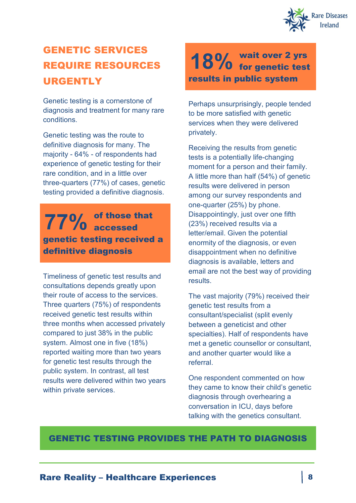

# GENETIC SERVICES REQUIRE RESOURCES URGENTLY

Genetic testing is a cornerstone of diagnosis and treatment for many rare conditions.

Genetic testing was the route to definitive diagnosis for many. The majority - 64% - of respondents had experience of genetic testing for their rare condition, and in a little over three-quarters (77%) of cases, genetic testing provided a definitive diagnosis.

### of those that  $77\%$  of those the set of the set of the set of the set of the set of the set of the set of the set of the set of the set of the set of the set of the set of the set of the set of the set of the set of the set of the set genetic testing received a definitive diagnosis

Timeliness of genetic test results and consultations depends greatly upon their route of access to the services. Three quarters (75%) of respondents received genetic test results within three months when accessed privately compared to just 38% in the public system. Almost one in five (18%) reported waiting more than two years for genetic test results through the public system. In contrast, all test results were delivered within two years within private services.

wait over 2 yrs 18% wait over 2 yrs<br>18% for genetic test results in public system

Perhaps unsurprisingly, people tended to be more satisfied with genetic services when they were delivered privately.

Receiving the results from genetic tests is a potentially life-changing moment for a person and their family. A little more than half (54%) of genetic results were delivered in person among our survey respondents and one-quarter (25%) by phone. Disappointingly, just over one fifth (23%) received results via a letter/email. Given the potential enormity of the diagnosis, or even disappointment when no definitive diagnosis is available, letters and email are not the best way of providing results.

The vast majority (79%) received their genetic test results from a consultant/specialist (split evenly between a geneticist and other specialties). Half of respondents have met a genetic counsellor or consultant. and another quarter would like a referral.

One respondent commented on how they came to know their child's genetic diagnosis through overhearing a conversation in ICU, days before talking with the genetics consultant.

### GENETIC TESTING PROVIDES THE PATH TO DIAGNOSIS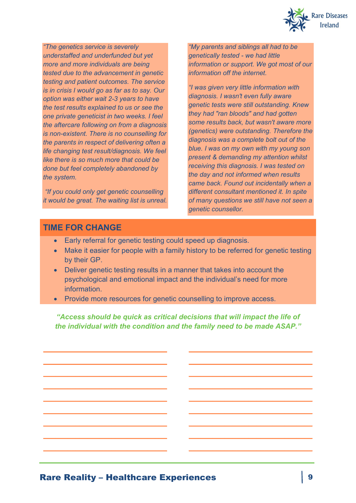

*"The genetics service is severely understaffed and underfunded but yet more and more individuals are being tested due to the advancement in genetic testing and patient outcomes. The service is in crisis I would go as far as to say. Our option was either wait 2-3 years to have the test results explained to us or see the one private geneticist in two weeks. I feel the aftercare following on from a diagnosis is non-existent. There is no counselling for the parents in respect of delivering often a life changing test result/diagnosis. We feel like there is so much more that could be done but feel completely abandoned by the system.* 

*"If you could only get genetic counselling it would be great. The waiting list is unreal.*

**\_\_\_\_\_\_\_\_\_\_\_\_\_\_\_\_\_\_\_\_\_\_\_\_\_\_\_\_\_\_\_**

**\_\_\_\_\_\_\_\_\_\_\_\_\_\_\_\_\_\_\_\_\_\_\_\_\_\_\_\_\_\_\_**

**\_\_\_\_\_\_\_\_\_\_\_\_\_\_\_\_\_\_\_\_\_\_\_\_\_\_\_\_\_\_\_**

**\_\_\_\_\_\_\_\_\_\_\_\_\_\_\_\_\_\_\_\_\_\_\_\_\_\_\_\_\_\_\_**

**\_\_\_\_\_\_\_\_\_\_\_\_\_\_\_\_\_\_\_\_\_\_\_\_\_\_\_\_\_\_\_**

**\_\_\_\_\_\_\_\_\_\_\_\_\_\_\_\_\_\_\_\_\_\_\_\_\_\_\_\_\_\_\_**

**\_\_\_\_\_\_\_\_\_\_\_\_\_\_\_\_\_\_\_\_\_\_\_\_\_\_\_\_\_\_\_**

**\_\_\_\_\_\_\_\_\_\_\_\_\_\_\_\_\_\_\_\_\_\_\_\_\_\_\_\_\_\_\_**

**\_\_\_\_\_\_\_\_\_\_\_\_\_\_\_\_\_\_\_\_\_\_\_\_\_\_\_\_\_\_\_**

*"My parents and siblings all had to be genetically tested - we had little information or support. We got most of our information off the internet.*

*"I was given very little information with diagnosis. I wasn't even fully aware genetic tests were still outstanding. Knew they had "ran bloods" and had gotten some results back, but wasn't aware more (genetics) were outstanding. Therefore the diagnosis was a complete bolt out of the blue. I was on my own with my young son present & demanding my attention whilst receiving this diagnosis. I was tested on the day and not informed when results came back. Found out incidentally when a different consultant mentioned it. In spite of many questions we still have not seen a genetic counsellor.*

**\_\_\_\_\_\_\_\_\_\_\_\_\_\_\_\_\_\_\_\_\_\_\_\_\_\_\_\_\_\_\_**

**\_\_\_\_\_\_\_\_\_\_\_\_\_\_\_\_\_\_\_\_\_\_\_\_\_\_\_\_\_\_\_**

**\_\_\_\_\_\_\_\_\_\_\_\_\_\_\_\_\_\_\_\_\_\_\_\_\_\_\_\_\_\_\_**

**\_\_\_\_\_\_\_\_\_\_\_\_\_\_\_\_\_\_\_\_\_\_\_\_\_\_\_\_\_\_\_**

**\_\_\_\_\_\_\_\_\_\_\_\_\_\_\_\_\_\_\_\_\_\_\_\_\_\_\_\_\_\_\_**

**\_\_\_\_\_\_\_\_\_\_\_\_\_\_\_\_\_\_\_\_\_\_\_\_\_\_\_\_\_\_\_**

**\_\_\_\_\_\_\_\_\_\_\_\_\_\_\_\_\_\_\_\_\_\_\_\_\_\_\_\_\_\_\_**

**\_\_\_\_\_\_\_\_\_\_\_\_\_\_\_\_\_\_\_\_\_\_\_\_\_\_\_\_\_\_\_**

**\_\_\_\_\_\_\_\_\_\_\_\_\_\_\_\_\_\_\_\_\_\_\_\_\_\_\_\_\_\_\_**

#### **TIME FOR CHANGE**

- Early referral for genetic testing could speed up diagnosis.
- Make it easier for people with a family history to be referred for genetic testing by their GP.
- Deliver genetic testing results in a manner that takes into account the psychological and emotional impact and the individual's need for more information.
- Provide more resources for genetic counselling to improve access.

*"Access should be quick as critical decisions that will impact the life of the individual with the condition and the family need to be made ASAP."*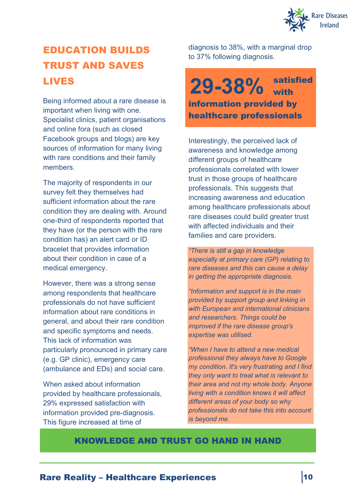

# EDUCATION BUILDS TRUST AND SAVES LIVES

Being informed about a rare disease is important when living with one. Specialist clinics, patient organisations and online fora (such as closed Facebook groups and blogs) are key sources of information for many living with rare conditions and their family members.

The majority of respondents in our survey felt they themselves had sufficient information about the rare condition they are dealing with. Around one-third of respondents reported that they have (or the person with the rare condition has) an alert card or ID bracelet that provides information about their condition in case of a medical emergency.

However, there was a strong sense among respondents that healthcare professionals do not have sufficient information about rare conditions in general, and about their rare condition and specific symptoms and needs. This lack of information was particularly pronounced in primary care (e.g. GP clinic), emergency care (ambulance and EDs) and social care.

When asked about information provided by healthcare professionals, 29% expressed satisfaction with information provided pre-diagnosis. This figure increased at time of

diagnosis to 38%, with a marginal drop to 37% following diagnosis.

### satisfied with information provided by healthcare professionals **29-38%**

Interestingly, the perceived lack of awareness and knowledge among different groups of healthcare professionals correlated with lower trust in those groups of healthcare professionals. This suggests that increasing awareness and education among healthcare professionals about rare diseases could build greater trust with affected individuals and their families and care providers.

*"There is still a gap in knowledge especially at primary care (GP) relating to rare diseases and this can cause a delay in getting the appropriate diagnosis.*

*"Information and support is in the main provided by support group and linking in with European and international clinicians and researchers. Things could be improved if the rare disease group's expertise was utilised.*

*"When I have to attend a new medical professional they always have to Google my condition. It's very frustrating and I find they only want to treat what is relevant to their area and not my whole body. Anyone living with a condition knows it will affect different areas of your body so why professionals do not take this into account is beyond me.*

### KNOWLEDGE AND TRUST GO HAND IN HAND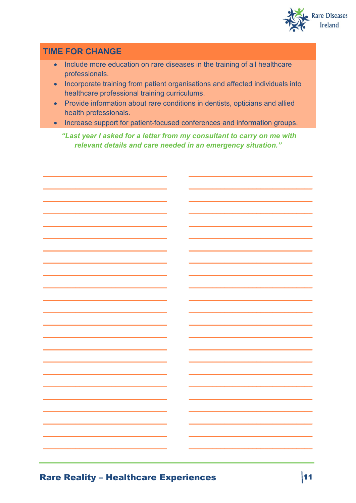

### **TIME FOR CHANGE**

- Include more education on rare diseases in the training of all healthcare professionals.
- Incorporate training from patient organisations and affected individuals into healthcare professional training curriculums.
- Provide information about rare conditions in dentists, opticians and allied health professionals.
- Increase support for patient-focused conferences and information groups.

"Last year I asked for a letter from my consultant to carry on me with relevant details and care needed in an emergency situation."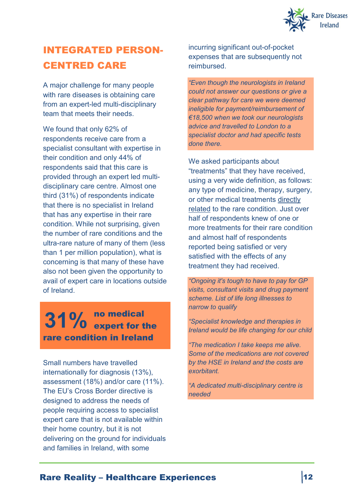

## INTEGRATED PERSON-CENTRED CARE

A major challenge for many people with rare diseases is obtaining care from an expert-led multi-disciplinary team that meets their needs.

We found that only 62% of respondents receive care from a specialist consultant with expertise in their condition and only 44% of respondents said that this care is provided through an expert led multidisciplinary care centre. Almost one third (31%) of respondents indicate that there is no specialist in Ireland that has any expertise in their rare condition. While not surprising, given the number of rare conditions and the ultra-rare nature of many of them (less than 1 per million population), what is concerning is that many of these have also not been given the opportunity to avail of expert care in locations outside of Ireland.

### no medical expert for the **31%**rare condition in Ireland

Small numbers have travelled internationally for diagnosis (13%), assessment (18%) and/or care (11%). The EU's Cross Border directive is designed to address the needs of people requiring access to specialist expert care that is not available within their home country, but it is not delivering on the ground for individuals and families in Ireland, with some

incurring significant out-of-pocket expenses that are subsequently not reimbursed.

*"Even though the neurologists in Ireland could not answer our questions or give a clear pathway for care we were deemed ineligible for payment/reimbursement of €18,500 when we took our neurologists advice and travelled to London to a specialist doctor and had specific tests done there.*

We asked participants about "treatments" that they have received, using a very wide definition, as follows: any type of medicine, therapy, surgery, or other medical treatments directly related to the rare condition. Just over half of respondents knew of one or more treatments for their rare condition and almost half of respondents reported being satisfied or very satisfied with the effects of any treatment they had received.

*"Ongoing it's tough to have to pay for GP visits, consultant visits and drug payment scheme. List of life long illnesses to narrow to qualify*

*"Specialist knowledge and therapies in Ireland would be life changing for our child*

*"The medication I take keeps me alive. Some of the medications are not covered by the HSE in Ireland and the costs are exorbitant.*

*"A dedicated multi-disciplinary centre is needed*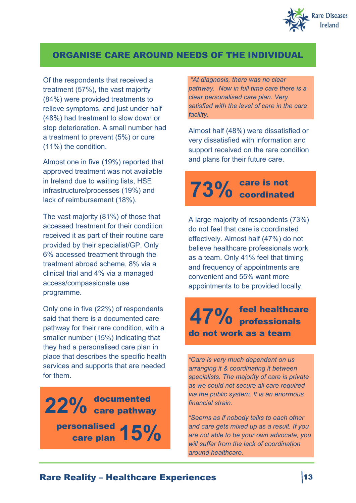

### ORGANISE CARE AROUND NEEDS OF THE INDIVIDUAL

Of the respondents that received a treatment (57%), the vast majority (84%) were provided treatments to relieve symptoms, and just under half (48%) had treatment to slow down or stop deterioration. A small number had a treatment to prevent (5%) or cure (11%) the condition.

Almost one in five (19%) reported that approved treatment was not available in Ireland due to waiting lists, HSE infrastructure/processes (19%) and lack of reimbursement (18%).

The vast majority (81%) of those that accessed treatment for their condition received it as part of their routine care provided by their specialist/GP. Only 6% accessed treatment through the treatment abroad scheme, 8% via a clinical trial and 4% via a managed access/compassionate use programme.

Only one in five (22%) of respondents said that there is a documented care pathway for their rare condition, with a smaller number (15%) indicating that they had a personalised care plan in place that describes the specific health services and supports that are needed for them.

documented 22% documented<br>22% care pathway personalised care plan **15%**

*"At diagnosis, there was no clear pathway. Now in full time care there is a clear personalised care plan. Very satisfied with the level of care in the care facility.*

Almost half (48%) were dissatisfied or very dissatisfied with information and support received on the rare condition and plans for their future care.

### care is not **73%** coordinated

A large majority of respondents (73%) do not feel that care is coordinated effectively. Almost half (47%) do not believe healthcare professionals work as a team. Only 41% feel that timing and frequency of appointments are convenient and 55% want more appointments to be provided locally.

feel healthcare professionals **47%** do not work as a team

*"Care is very much dependent on us arranging it & coordinating it between specialists. The majority of care is private as we could not secure all care required via the public system. It is an enormous financial strain.*

*"Seems as if nobody talks to each other and care gets mixed up as a result. If you are not able to be your own advocate, you will suffer from the lack of coordination around healthcare.*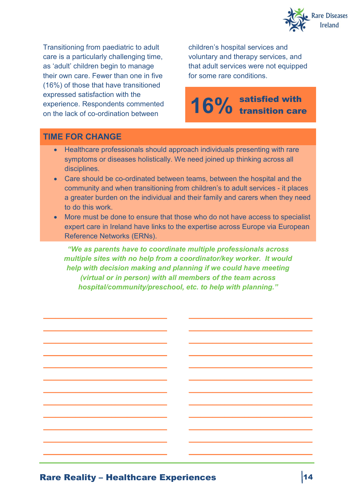

Transitioning from paediatric to adult care is a particularly challenging time, as 'adult' children begin to manage their own care. Fewer than one in five (16%) of those that have transitioned expressed satisfaction with the experience. Respondents commented on the lack of co-ordination between

**\_\_\_\_\_\_\_\_\_\_\_\_\_\_\_\_\_\_\_\_\_\_\_\_\_\_\_\_\_\_\_**

**\_\_\_\_\_\_\_\_\_\_\_\_\_\_\_\_\_\_\_\_\_\_\_\_\_\_\_\_\_\_\_**

**\_\_\_\_\_\_\_\_\_\_\_\_\_\_\_\_\_\_\_\_\_\_\_\_\_\_\_\_\_\_\_**

**\_\_\_\_\_\_\_\_\_\_\_\_\_\_\_\_\_\_\_\_\_\_\_\_\_\_\_\_\_\_\_**

**\_\_\_\_\_\_\_\_\_\_\_\_\_\_\_\_\_\_\_\_\_\_\_\_\_\_\_\_\_\_\_**

**\_\_\_\_\_\_\_\_\_\_\_\_\_\_\_\_\_\_\_\_\_\_\_\_\_\_\_\_\_\_\_**

**\_\_\_\_\_\_\_\_\_\_\_\_\_\_\_\_\_\_\_\_\_\_\_\_\_\_\_\_\_\_\_**

**\_\_\_\_\_\_\_\_\_\_\_\_\_\_\_\_\_\_\_\_\_\_\_\_\_\_\_\_\_\_\_**

**\_\_\_\_\_\_\_\_\_\_\_\_\_\_\_\_\_\_\_\_\_\_\_\_\_\_\_\_\_\_\_**

**\_\_\_\_\_\_\_\_\_\_\_\_\_\_\_\_\_\_\_\_\_\_\_\_\_\_\_\_\_\_\_**

**\_\_\_\_\_\_\_\_\_\_\_\_\_\_\_\_\_\_\_\_\_\_\_\_\_\_\_\_\_\_\_**

**\_\_\_\_\_\_\_\_\_\_\_\_\_\_\_\_\_\_\_\_\_\_\_\_\_\_\_\_\_\_\_**

children's hospital services and voluntary and therapy services, and that adult services were not equipped for some rare conditions.

### satisfied with 16% satisfied with the **16%**

**\_\_\_\_\_\_\_\_\_\_\_\_\_\_\_\_\_\_\_\_\_\_\_\_\_\_\_\_\_\_\_**

**\_\_\_\_\_\_\_\_\_\_\_\_\_\_\_\_\_\_\_\_\_\_\_\_\_\_\_\_\_\_\_**

**\_\_\_\_\_\_\_\_\_\_\_\_\_\_\_\_\_\_\_\_\_\_\_\_\_\_\_\_\_\_\_**

**\_\_\_\_\_\_\_\_\_\_\_\_\_\_\_\_\_\_\_\_\_\_\_\_\_\_\_\_\_\_\_**

**\_\_\_\_\_\_\_\_\_\_\_\_\_\_\_\_\_\_\_\_\_\_\_\_\_\_\_\_\_\_\_**

**\_\_\_\_\_\_\_\_\_\_\_\_\_\_\_\_\_\_\_\_\_\_\_\_\_\_\_\_\_\_\_**

**\_\_\_\_\_\_\_\_\_\_\_\_\_\_\_\_\_\_\_\_\_\_\_\_\_\_\_\_\_\_\_**

**\_\_\_\_\_\_\_\_\_\_\_\_\_\_\_\_\_\_\_\_\_\_\_\_\_\_\_\_\_\_\_**

**\_\_\_\_\_\_\_\_\_\_\_\_\_\_\_\_\_\_\_\_\_\_\_\_\_\_\_\_\_\_\_**

**\_\_\_\_\_\_\_\_\_\_\_\_\_\_\_\_\_\_\_\_\_\_\_\_\_\_\_\_\_\_\_**

**\_\_\_\_\_\_\_\_\_\_\_\_\_\_\_\_\_\_\_\_\_\_\_\_\_\_\_\_\_\_\_**

**\_\_\_\_\_\_\_\_\_\_\_\_\_\_\_\_\_\_\_\_\_\_\_\_\_\_\_\_\_\_\_**

### **TIME FOR CHANGE**

- Healthcare professionals should approach individuals presenting with rare symptoms or diseases holistically. We need joined up thinking across all disciplines.
- Care should be co-ordinated between teams, between the hospital and the community and when transitioning from children's to adult services - it places a greater burden on the individual and their family and carers when they need to do this work.
- More must be done to ensure that those who do not have access to specialist expert care in Ireland have links to the expertise across Europe via European Reference Networks (ERNs).

*"We as parents have to coordinate multiple professionals across multiple sites with no help from a coordinator/key worker. It would help with decision making and planning if we could have meeting (virtual or in person) with all members of the team across hospital/community/preschool, etc. to help with planning."*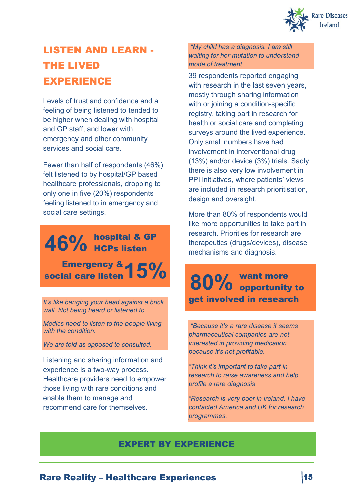

# LISTEN AND LEARN - THE LIVED EXPERIENCE

Levels of trust and confidence and a feeling of being listened to tended to be higher when dealing with hospital and GP staff, and lower with emergency and other community services and social care.

Fewer than half of respondents (46%) felt listened to by hospital/GP based healthcare professionals, dropping to only one in five (20%) respondents feeling listened to in emergency and social care settings.

## hospital & GP  $46\%$  nospital & Q Emergency & social care listen

*It's like banging your head against a brick wall. Not being heard or listened to.*

*Medics need to listen to the people living with the condition.*

*We are told as opposed to consulted.* 

Listening and sharing information and experience is a two-way process. Healthcare providers need to empower those living with rare conditions and enable them to manage and recommend care for themselves.

*"My child has a diagnosis. I am still waiting for her mutation to understand mode of treatment.*

39 respondents reported engaging with research in the last seven years, mostly through sharing information with or joining a condition-specific registry, taking part in research for health or social care and completing surveys around the lived experience. Only small numbers have had involvement in interventional drug (13%) and/or device (3%) trials. Sadly there is also very low involvement in PPI initiatives, where patients' views are included in research prioritisation, design and oversight.

More than 80% of respondents would like more opportunities to take part in research. Priorities for research are therapeutics (drugs/devices), disease mechanisms and diagnosis.

# want more 15% 80% want more get involved in research

*"Because it's a rare disease it seems pharmaceutical companies are not interested in providing medication because it's not profitable.*

*"Think it's important to take part in research to raise awareness and help profile a rare diagnosis* 

*"Research is very poor in Ireland. I have contacted America and UK for research programmes.*

### EXPERT BY EXPERIENCE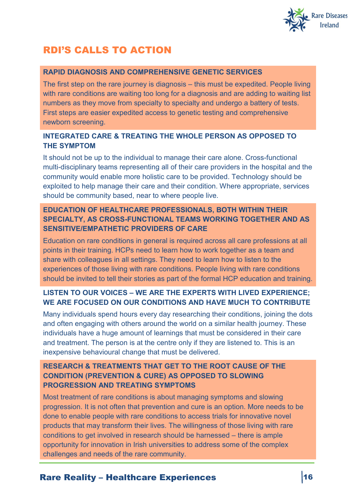

### RDI'S CALLS TO ACTION

#### **RAPID DIAGNOSIS AND COMPREHENSIVE GENETIC SERVICES**

The first step on the rare journey is diagnosis – this must be expedited. People living with rare conditions are waiting too long for a diagnosis and are adding to waiting list numbers as they move from specialty to specialty and undergo a battery of tests. First steps are easier expedited access to genetic testing and comprehensive newborn screening.

#### **INTEGRATED CARE & TREATING THE WHOLE PERSON AS OPPOSED TO THE SYMPTOM**

It should not be up to the individual to manage their care alone. Cross-functional multi-disciplinary teams representing all of their care providers in the hospital and the community would enable more holistic care to be provided. Technology should be exploited to help manage their care and their condition. Where appropriate, services should be community based, near to where people live.

#### **EDUCATION OF HEALTHCARE PROFESSIONALS, BOTH WITHIN THEIR SPECIALTY, AS CROSS-FUNCTIONAL TEAMS WORKING TOGETHER AND AS SENSITIVE/EMPATHETIC PROVIDERS OF CARE**

Education on rare conditions in general is required across all care professions at all points in their training. HCPs need to learn how to work together as a team and share with colleagues in all settings. They need to learn how to listen to the experiences of those living with rare conditions. People living with rare conditions should be invited to tell their stories as part of the formal HCP education and training.

### **LISTEN TO OUR VOICES – WE ARE THE EXPERTS WITH LIVED EXPERIENCE; WE ARE FOCUSED ON OUR CONDITIONS AND HAVE MUCH TO CONTRIBUTE**

Many individuals spend hours every day researching their conditions, joining the dots and often engaging with others around the world on a similar health journey. These individuals have a huge amount of learnings that must be considered in their care and treatment. The person is at the centre only if they are listened to. This is an inexpensive behavioural change that must be delivered.

#### **RESEARCH & TREATMENTS THAT GET TO THE ROOT CAUSE OF THE CONDITION (PREVENTION & CURE) AS OPPOSED TO SLOWING PROGRESSION AND TREATING SYMPTOMS**

Most treatment of rare conditions is about managing symptoms and slowing progression. It is not often that prevention and cure is an option. More needs to be done to enable people with rare conditions to access trials for innovative novel products that may transform their lives. The willingness of those living with rare conditions to get involved in research should be harnessed – there is ample opportunity for innovation in Irish universities to address some of the complex challenges and needs of the rare community.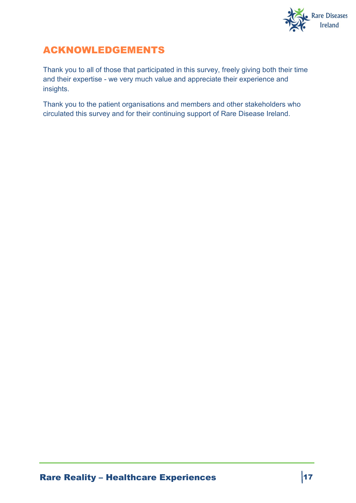

### ACKNOWLEDGEMENTS

Thank you to all of those that participated in this survey, freely giving both their time and their expertise - we very much value and appreciate their experience and insights.

Thank you to the patient organisations and members and other stakeholders who circulated this survey and for their continuing support of Rare Disease Ireland.